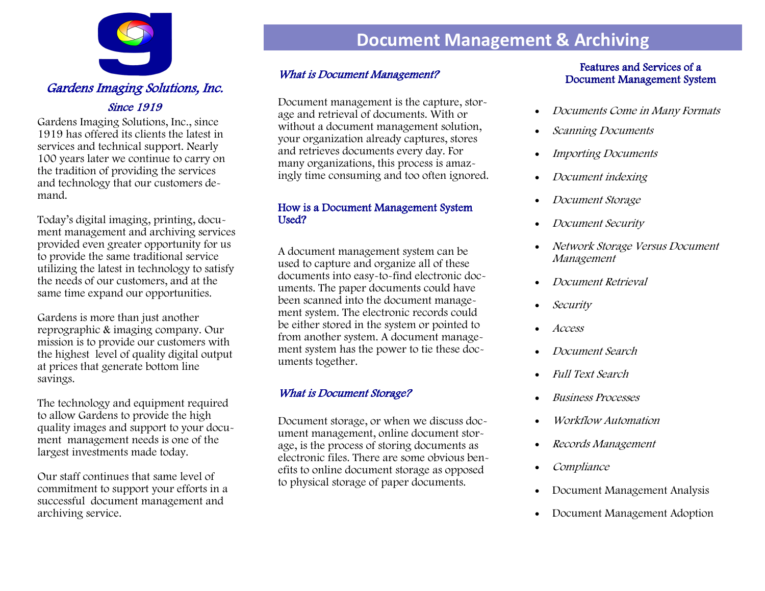

Gardens Imaging Solutions, Inc., since 1919 has offered its clients the latest in services and technical support. Nearly 100 years later we continue to carry on the tradition of providing the services and technology that our customers demand.

Today's digital imaging, printing, document management and archiving services provided even greater opportunity for us to provide the same traditional service utilizing the latest in technology to satisfy the needs of our customers, and at the same time expand our opportunities.

Gardens is more than just another reprographic & imaging company. Our mission is to provide our customers with the highest level of quality digital output at prices that generate bottom line savings.

The technology and equipment required to allow Gardens to provide the high quality images and support to your document management needs is one of the largest investments made today.

Our staff continues that same level of commitment to support your efforts in a successful document management and archiving service.

## **Document Management & Archiving**

#### What is Document Management?

Document management is the capture, storage and retrieval of documents. With or without a document management solution, your organization already captures, stores and retrieves documents every day. For many organizations, this process is amazingly time consuming and too often ignored.

#### How is a Document Management System Used?

A document management system can be used to capture and organize all of these documents into easy-to-find electronic documents. The paper documents could have been scanned into the document management system. The electronic records could be either stored in the system or pointed to from another system. A document management system has the power to tie these documents together.

#### What is Document Storage?

Document storage, or when we discuss document management, online document storage, is the process of storing documents as electronic files. There are some obvious benefits to online document storage as opposed to physical storage of paper documents.

#### Features and Services of a Document Management System

- Documents Come in Many Formats
- Scanning Documents
- Importing Documents
- Document indexing
- Document Storage
- Document Security
- Network Storage Versus Document Management
- Document Retrieval
- Security
- Access
- Document Search
- Full Text Search
- Business Processes
- Workflow Automation
- Records Management
- Compliance
- Document Management Analysis
- Document Management Adoption